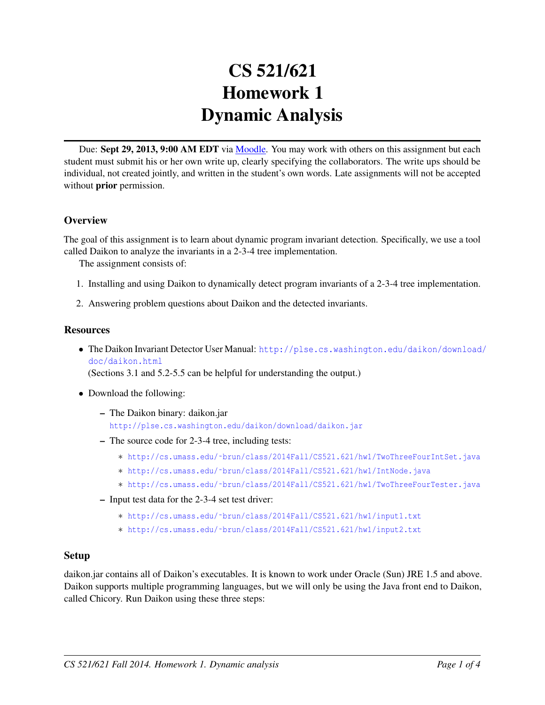# CS 521/621 Homework 1 Dynamic Analysis

Due: Sept 29, 2013, 9:00 AM EDT via [Moodle.](https://moodle.umass.edu/course/view.php?id=17268) You may work with others on this assignment but each student must submit his or her own write up, clearly specifying the collaborators. The write ups should be individual, not created jointly, and written in the student's own words. Late assignments will not be accepted without **prior** permission.

## **Overview**

The goal of this assignment is to learn about dynamic program invariant detection. Specifically, we use a tool called Daikon to analyze the invariants in a 2-3-4 tree implementation.

The assignment consists of:

- 1. Installing and using Daikon to dynamically detect program invariants of a 2-3-4 tree implementation.
- 2. Answering problem questions about Daikon and the detected invariants.

#### **Resources**

• The Daikon Invariant Detector User Manual: [http://plse.cs.washington.edu/daikon/download](http://plse.cs.washington.edu/daikon/download/doc/daikon.html)/ [doc/daikon.html](http://plse.cs.washington.edu/daikon/download/doc/daikon.html)

(Sections 3.1 and 5.2-5.5 can be helpful for understanding the output.)

- Download the following:
	- The Daikon binary: daikon.jar <http://plse.cs.washington.edu/daikon/download/daikon.jar>
	- The source code for 2-3-4 tree, including tests:
		- ∗ [http://cs.umass.edu/˜brun/class/2014Fall/CS521.621/hw1/TwoThreeFourIntSet.java](http://cs.umass.edu/~brun/class/2014Fall/CS521.621/hw1/TwoThreeFourIntSet.java)
		- ∗ [http://cs.umass.edu/˜brun/class/2014Fall/CS521.621/hw1/IntNode.java](http://cs.umass.edu/~brun/class/2014Fall/CS521.621/hw1/IntNode.java)
		- ∗ [http://cs.umass.edu/˜brun/class/2014Fall/CS521.621/hw1/TwoThreeFourTester.java](http://cs.umass.edu/~brun/class/2014Fall/CS521.621/hw1/TwoThreeFourTester.java)
	- Input test data for the 2-3-4 set test driver:
		- ∗ [http://cs.umass.edu/˜brun/class/2014Fall/CS521.621/hw1/input1.txt](http://cs.umass.edu/~brun/class/2014Fall/CS521.621/hw1/input1.txt)
		- ∗ [http://cs.umass.edu/˜brun/class/2014Fall/CS521.621/hw1/input2.txt](http://cs.umass.edu/~brun/class/2014Fall/CS521.621/hw1/input2.txt)

#### Setup

daikon.jar contains all of Daikon's executables. It is known to work under Oracle (Sun) JRE 1.5 and above. Daikon supports multiple programming languages, but we will only be using the Java front end to Daikon, called Chicory. Run Daikon using these three steps: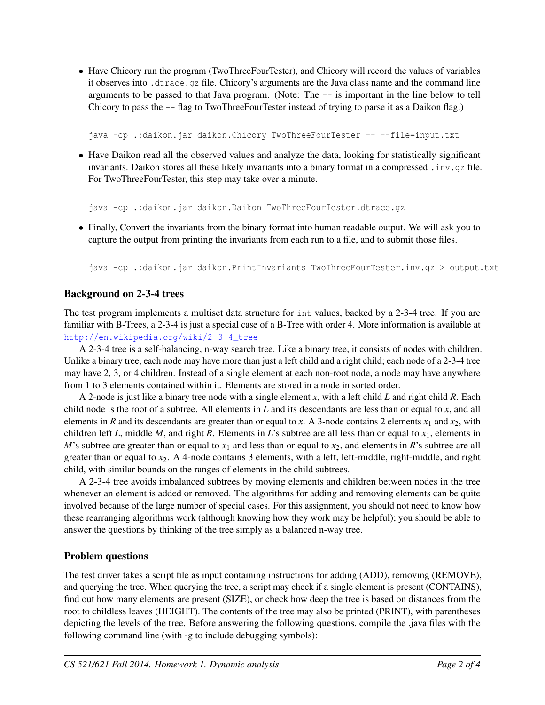• Have Chicory run the program (TwoThreeFourTester), and Chicory will record the values of variables it observes into .dtrace.gz file. Chicory's arguments are the Java class name and the command line arguments to be passed to that Java program. (Note: The -- is important in the line below to tell Chicory to pass the -- flag to TwoThreeFourTester instead of trying to parse it as a Daikon flag.)

java -cp .:daikon.jar daikon.Chicory TwoThreeFourTester -- --file=input.txt

• Have Daikon read all the observed values and analyze the data, looking for statistically significant invariants. Daikon stores all these likely invariants into a binary format in a compressed . inv. qz file. For TwoThreeFourTester, this step may take over a minute.

java -cp .:daikon.jar daikon.Daikon TwoThreeFourTester.dtrace.gz

• Finally, Convert the invariants from the binary format into human readable output. We will ask you to capture the output from printing the invariants from each run to a file, and to submit those files.

java -cp .:daikon.jar daikon.PrintInvariants TwoThreeFourTester.inv.gz > output.txt

## Background on 2-3-4 trees

The test program implements a multiset data structure for int values, backed by a 2-3-4 tree. If you are familiar with B-Trees, a 2-3-4 is just a special case of a B-Tree with order 4. More information is available at [http://en.wikipedia.org/wiki/2-3-4\\_tree](http://en.wikipedia.org/wiki/2-3-4_tree)

A 2-3-4 tree is a self-balancing, n-way search tree. Like a binary tree, it consists of nodes with children. Unlike a binary tree, each node may have more than just a left child and a right child; each node of a 2-3-4 tree may have 2, 3, or 4 children. Instead of a single element at each non-root node, a node may have anywhere from 1 to 3 elements contained within it. Elements are stored in a node in sorted order.

A 2-node is just like a binary tree node with a single element *x*, with a left child *L* and right child *R*. Each child node is the root of a subtree. All elements in *L* and its descendants are less than or equal to *x*, and all elements in *R* and its descendants are greater than or equal to *x*. A 3-node contains 2 elements  $x_1$  and  $x_2$ , with children left *L*, middle *M*, and right *R*. Elements in *L*'s subtree are all less than or equal to *x*1, elements in *M*'s subtree are greater than or equal to  $x_1$  and less than or equal to  $x_2$ , and elements in *R*'s subtree are all greater than or equal to  $x_2$ . A 4-node contains 3 elements, with a left, left-middle, right-middle, and right child, with similar bounds on the ranges of elements in the child subtrees.

A 2-3-4 tree avoids imbalanced subtrees by moving elements and children between nodes in the tree whenever an element is added or removed. The algorithms for adding and removing elements can be quite involved because of the large number of special cases. For this assignment, you should not need to know how these rearranging algorithms work (although knowing how they work may be helpful); you should be able to answer the questions by thinking of the tree simply as a balanced n-way tree.

#### Problem questions

The test driver takes a script file as input containing instructions for adding (ADD), removing (REMOVE), and querying the tree. When querying the tree, a script may check if a single element is present (CONTAINS), find out how many elements are present (SIZE), or check how deep the tree is based on distances from the root to childless leaves (HEIGHT). The contents of the tree may also be printed (PRINT), with parentheses depicting the levels of the tree. Before answering the following questions, compile the .java files with the following command line (with -g to include debugging symbols):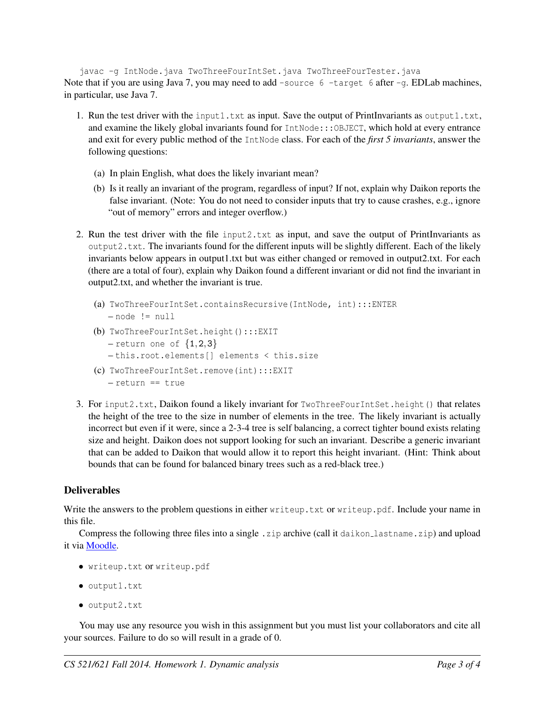javac -g IntNode.java TwoThreeFourIntSet.java TwoThreeFourTester.java Note that if you are using Java 7, you may need to add -source 6 -target 6 after -g. EDLab machines, in particular, use Java 7.

- 1. Run the test driver with the input1.txt as input. Save the output of PrintInvariants as output1.txt, and examine the likely global invariants found for IntNode::: OBJECT, which hold at every entrance and exit for every public method of the IntNode class. For each of the *first 5 invariants*, answer the following questions:
	- (a) In plain English, what does the likely invariant mean?
	- (b) Is it really an invariant of the program, regardless of input? If not, explain why Daikon reports the false invariant. (Note: You do not need to consider inputs that try to cause crashes, e.g., ignore "out of memory" errors and integer overflow.)
- 2. Run the test driver with the file input2.txt as input, and save the output of PrintInvariants as output2.txt. The invariants found for the different inputs will be slightly different. Each of the likely invariants below appears in output1.txt but was either changed or removed in output2.txt. For each (there are a total of four), explain why Daikon found a different invariant or did not find the invariant in output2.txt, and whether the invariant is true.
	- (a) TwoThreeFourIntSet.containsRecursive(IntNode, int):::ENTER  $-$  node  $!=$  null
	- (b) TwoThreeFourIntSet.height():::EXIT  $-$  return one of  $\{1,2,3\}$ 
		- this.root.elements[] elements < this.size
	- (c) TwoThreeFourIntSet.remove(int):::EXIT – return == true
- 3. For input2.txt, Daikon found a likely invariant for TwoThreeFourIntSet.height() that relates the height of the tree to the size in number of elements in the tree. The likely invariant is actually incorrect but even if it were, since a 2-3-4 tree is self balancing, a correct tighter bound exists relating size and height. Daikon does not support looking for such an invariant. Describe a generic invariant that can be added to Daikon that would allow it to report this height invariant. (Hint: Think about bounds that can be found for balanced binary trees such as a red-black tree.)

## Deliverables

Write the answers to the problem questions in either writeup.txt or writeup.pdf. Include your name in this file.

Compress the following three files into a single . zip archive (call it daikon lastname.zip) and upload it via [Moodle.](https://moodle.umass.edu/course/view.php?id=17268)

- writeup.txt or writeup.pdf
- output1.txt
- output2.txt

You may use any resource you wish in this assignment but you must list your collaborators and cite all your sources. Failure to do so will result in a grade of 0.